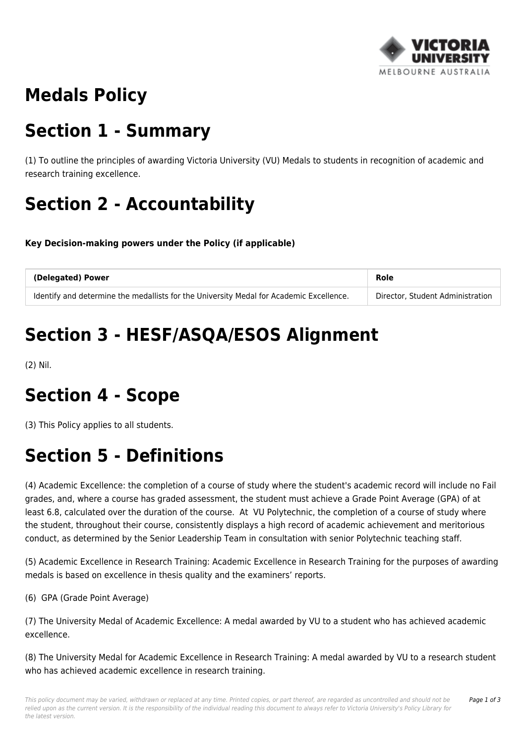

# **Medals Policy**

#### **Section 1 - Summary**

(1) To outline the principles of awarding Victoria University (VU) Medals to students in recognition of academic and research training excellence.

# **Section 2 - Accountability**

**Key Decision-making powers under the Policy (if applicable)**

| (Delegated) Power                                                                       | Role                             |
|-----------------------------------------------------------------------------------------|----------------------------------|
| Identify and determine the medallists for the University Medal for Academic Excellence. | Director, Student Administration |

# **Section 3 - HESF/ASQA/ESOS Alignment**

(2) Nil.

#### **Section 4 - Scope**

(3) This Policy applies to all students.

### **Section 5 - Definitions**

(4) Academic Excellence: the completion of a course of study where the student's academic record will include no Fail grades, and, where a course has graded assessment, the student must achieve a Grade Point Average (GPA) of at least 6.8, calculated over the duration of the course. At VU Polytechnic, the completion of a course of study where the student, throughout their course, consistently displays a high record of academic achievement and meritorious conduct, as determined by the Senior Leadership Team in consultation with senior Polytechnic teaching staff.

(5) Academic Excellence in Research Training: Academic Excellence in Research Training for the purposes of awarding medals is based on excellence in thesis quality and the examiners' reports.

(6) GPA (Grade Point Average)

(7) The University Medal of Academic Excellence: A medal awarded by VU to a student who has achieved academic excellence.

(8) The University Medal for Academic Excellence in Research Training: A medal awarded by VU to a research student who has achieved academic excellence in research training.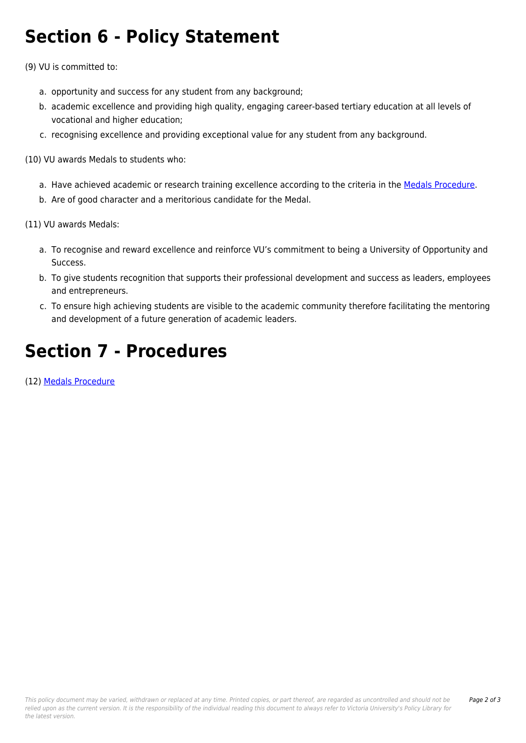### **Section 6 - Policy Statement**

(9) VU is committed to:

- a. opportunity and success for any student from any background;
- b. academic excellence and providing high quality, engaging career-based tertiary education at all levels of vocational and higher education;
- c. recognising excellence and providing exceptional value for any student from any background.

(10) VU awards Medals to students who:

- a. Have achieved academic or research training excellence according to the criteria in the [Medals Procedure.](https://policy.vu.edu.au/document/view.php?id=405)
- b. Are of good character and a meritorious candidate for the Medal.

(11) VU awards Medals:

- a. To recognise and reward excellence and reinforce VU's commitment to being a University of Opportunity and Success.
- b. To give students recognition that supports their professional development and success as leaders, employees and entrepreneurs.
- c. To ensure high achieving students are visible to the academic community therefore facilitating the mentoring and development of a future generation of academic leaders.

# **Section 7 - Procedures**

(12) [Medals Procedure](https://policy.vu.edu.au/document/view.php?id=405)